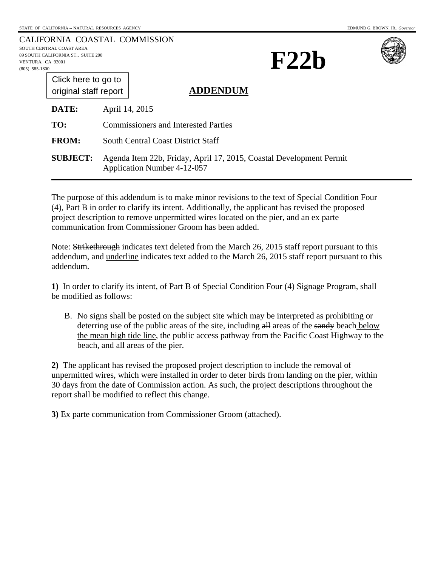|                                    | CALIFORNIA COASTAL COMMISSION |
|------------------------------------|-------------------------------|
| SOUTH CENTRAL COAST AREA           |                               |
| 89 SOUTH CALIFORNIA ST., SUITE 200 |                               |
| VENTURA. CA 93001                  |                               |
| (805) 585-1800                     |                               |
|                                    |                               |





| Click here to go to   |  |
|-----------------------|--|
| original staff report |  |
|                       |  |

#### **ADDENDUM**

| <b>DATE:</b>    | April 14, 2015                                                                                     |
|-----------------|----------------------------------------------------------------------------------------------------|
| TO:             | <b>Commissioners and Interested Parties</b>                                                        |
| <b>FROM:</b>    | <b>South Central Coast District Staff</b>                                                          |
| <b>SUBJECT:</b> | Agenda Item 22b, Friday, April 17, 2015, Coastal Development Permit<br>Application Number 4-12-057 |

The purpose of this addendum is to make minor revisions to the text of Special Condition Four (4), Part B in order to clarify its intent. Additionally, the applicant has revised the proposed project description to remove unpermitted wires located on the pier, and an ex parte communication from Commissioner Groom has been added.

Note: Strikethrough indicates text deleted from the March 26, 2015 staff report pursuant to this addendum, and underline indicates text added to the March 26, 2015 staff report pursuant to this addendum.

**1)** In order to clarify its intent, of Part B of Special Condition Four (4) Signage Program, shall be modified as follows:

B. No signs shall be posted on the subject site which may be interpreted as prohibiting or deterring use of the public areas of the site, including all areas of the sandy beach below the mean high tide line, the public access pathway from the Pacific Coast Highway to the beach, and all areas of the pier.

**2)** The applicant has revised the proposed project description to include the removal of unpermitted wires, which were installed in order to deter birds from landing on the pier, within 30 days from the date of Commission action. As such, the project descriptions throughout the report shall be modified to reflect this change.

**3)** Ex parte communication from Commissioner Groom (attached).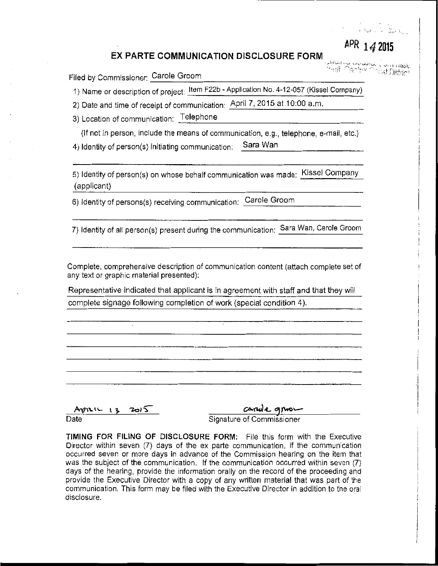# **APR 14 2Q15**

,,.I!IVo! ·~~ ~j'-''-".JI~ ~ Y•<iiifl~~~l ·~--i ·:·-r- \_,\_:-,·~r ))istrir~

> **·i**  i •

#### **EX PARTE COMMUNICATION DISCLOSURE FORM**

Filed by Commissioner: Carole Groom

1) Name or description of project: Item F22b -Application No. 4-12-057 (Kissel Company)

2) Date and time of receipt of communication: April 7, 2015 at 10:00 a.m.

3) Location of communication: Telephone

{If not in person, include the means of communication, e.g., telephone, e-mail, etc.) 4) Identity of person(s) initiating communication: Sara Wan

5) Identity of person(s) on whose behalf communication was made: Kissel Company (applicant)

6) Identity of persons(s) receiving communication: Carole Groom

7) Identity of all person(s) present during the communication: Sara Wan, Carole Groom

Complete, comprehensive description of communication content (attach complete set of any text or graphic material presented):

Representative indicated that applicant is in agreement with staff and that they will complete signage following completion of work (special condition 4).

 $A$  $81216 + 13$   $2015$ Arguelle 13 2015 Carole grow-<br>Date Signature of Commissioner

**TIMING FOR FILING OF DISCLOSURE FORM:** File this form with the Executive Director within seven (7) days of the ex parte communication, if the communication occurred seven or more days in advance of the Commission hearing on the item that was the subject of the communication. If the communication occurred within seven (7) days of the hearing, provide the information orally on the record of the proceeding and provide the Executive Director with a copy of any written material that was part of the communication. This form may be filed with the Executive Director in addition to the oral disclosure.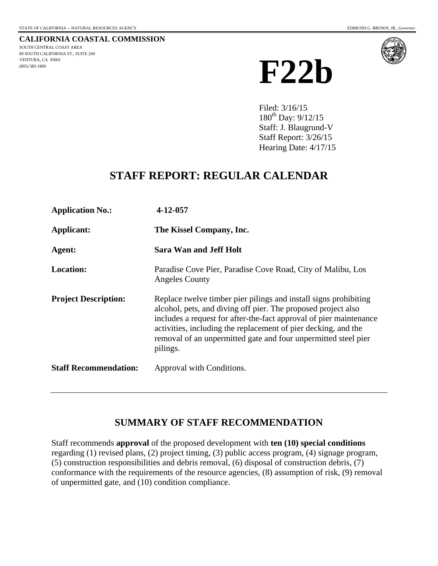<span id="page-2-0"></span>**CALIFORNIA COASTAL COMMISSION** SOUTH CENTRAL COAST AREA 89 SOUTH CALIFORNIA ST., SUITE 200 VENTURA, CA 93001 (805) 585-1800



Filed: 3/16/15 180th Day: 9/12/15 Staff: J. Blaugrund-V Staff Report: 3/26/15 Hearing Date: 4/17/15

# **STAFF REPORT: REGULAR CALENDAR**

| <b>Application No.:</b>      | 4-12-057                                                                                                                                                                                                                                                                                                                                                |
|------------------------------|---------------------------------------------------------------------------------------------------------------------------------------------------------------------------------------------------------------------------------------------------------------------------------------------------------------------------------------------------------|
| Applicant:                   | The Kissel Company, Inc.                                                                                                                                                                                                                                                                                                                                |
| Agent:                       | <b>Sara Wan and Jeff Holt</b>                                                                                                                                                                                                                                                                                                                           |
| <b>Location:</b>             | Paradise Cove Pier, Paradise Cove Road, City of Malibu, Los<br><b>Angeles County</b>                                                                                                                                                                                                                                                                    |
| <b>Project Description:</b>  | Replace twelve timber pier pilings and install signs prohibiting<br>alcohol, pets, and diving off pier. The proposed project also<br>includes a request for after-the-fact approval of pier maintenance<br>activities, including the replacement of pier decking, and the<br>removal of an unpermitted gate and four unpermitted steel pier<br>pilings. |
| <b>Staff Recommendation:</b> | Approval with Conditions.                                                                                                                                                                                                                                                                                                                               |

# **SUMMARY OF STAFF RECOMMENDATION**

Staff recommends **approval** of the proposed development with **ten (10) special conditions** regarding (1) revised plans, (2) project timing, (3) public access program, (4) signage program, (5) construction responsibilities and debris removal, (6) disposal of construction debris, (7) conformance with the requirements of the resource agencies, (8) assumption of risk, (9) removal of unpermitted gate, and (10) condition compliance.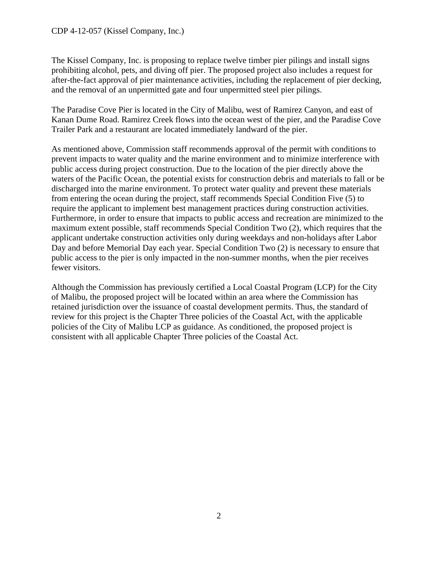The Kissel Company, Inc. is proposing to replace twelve timber pier pilings and install signs prohibiting alcohol, pets, and diving off pier. The proposed project also includes a request for after-the-fact approval of pier maintenance activities, including the replacement of pier decking, and the removal of an unpermitted gate and four unpermitted steel pier pilings.

The Paradise Cove Pier is located in the City of Malibu, west of Ramirez Canyon, and east of Kanan Dume Road. Ramirez Creek flows into the ocean west of the pier, and the Paradise Cove Trailer Park and a restaurant are located immediately landward of the pier.

As mentioned above, Commission staff recommends approval of the permit with conditions to prevent impacts to water quality and the marine environment and to minimize interference with public access during project construction. Due to the location of the pier directly above the waters of the Pacific Ocean, the potential exists for construction debris and materials to fall or be discharged into the marine environment. To protect water quality and prevent these materials from entering the ocean during the project, staff recommends Special Condition Five (5) to require the applicant to implement best management practices during construction activities. Furthermore, in order to ensure that impacts to public access and recreation are minimized to the maximum extent possible, staff recommends Special Condition Two (2), which requires that the applicant undertake construction activities only during weekdays and non-holidays after Labor Day and before Memorial Day each year. Special Condition Two (2) is necessary to ensure that public access to the pier is only impacted in the non-summer months, when the pier receives fewer visitors.

Although the Commission has previously certified a Local Coastal Program (LCP) for the City of Malibu, the proposed project will be located within an area where the Commission has retained jurisdiction over the issuance of coastal development permits. Thus, the standard of review for this project is the Chapter Three policies of the Coastal Act, with the applicable policies of the City of Malibu LCP as guidance. As conditioned, the proposed project is consistent with all applicable Chapter Three policies of the Coastal Act.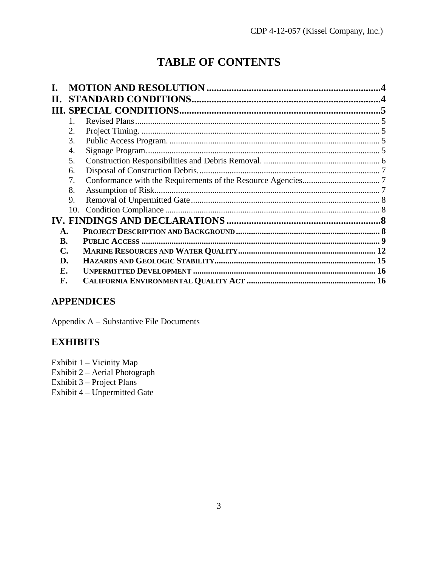# **TABLE OF CONTENTS**

|    | $1_{-}$ |  |
|----|---------|--|
|    |         |  |
|    | 3.      |  |
|    | 4.      |  |
|    | 5.      |  |
|    | 6.      |  |
|    | 7.      |  |
|    | 8.      |  |
|    | 9.      |  |
|    | 10.     |  |
|    |         |  |
| А. |         |  |
| B. |         |  |
| C. |         |  |
| D. |         |  |
| Е. |         |  |
| F. |         |  |
|    |         |  |

# **APPENDICES**

Appendix A – Substantive File Documents

# **EXHIBITS**

Exhibit 1 - Vicinity Map

Exhibit 2 - Aerial Photograph

Exhibit 3 – Project Plans

Exhibit 4 - Unpermitted Gate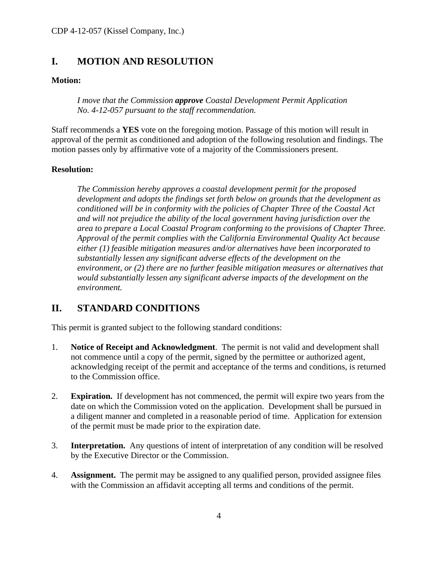# <span id="page-5-0"></span>**I. MOTION AND RESOLUTION**

## **Motion:**

*I move that the Commission approve Coastal Development Permit Application No. 4-12-057 pursuant to the staff recommendation.* 

Staff recommends a **YES** vote on the foregoing motion. Passage of this motion will result in approval of the permit as conditioned and adoption of the following resolution and findings. The motion passes only by affirmative vote of a majority of the Commissioners present.

## **Resolution:**

*The Commission hereby approves a coastal development permit for the proposed development and adopts the findings set forth below on grounds that the development as conditioned will be in conformity with the policies of Chapter Three of the Coastal Act and will not prejudice the ability of the local government having jurisdiction over the area to prepare a Local Coastal Program conforming to the provisions of Chapter Three. Approval of the permit complies with the California Environmental Quality Act because either (1) feasible mitigation measures and/or alternatives have been incorporated to substantially lessen any significant adverse effects of the development on the environment, or (2) there are no further feasible mitigation measures or alternatives that would substantially lessen any significant adverse impacts of the development on the environment.* 

# <span id="page-5-1"></span>**II. STANDARD CONDITIONS**

This permit is granted subject to the following standard conditions:

- 1. **Notice of Receipt and Acknowledgment**. The permit is not valid and development shall not commence until a copy of the permit, signed by the permittee or authorized agent, acknowledging receipt of the permit and acceptance of the terms and conditions, is returned to the Commission office.
- 2. **Expiration.** If development has not commenced, the permit will expire two years from the date on which the Commission voted on the application. Development shall be pursued in a diligent manner and completed in a reasonable period of time. Application for extension of the permit must be made prior to the expiration date.
- 3. **Interpretation.** Any questions of intent of interpretation of any condition will be resolved by the Executive Director or the Commission.
- 4. **Assignment.** The permit may be assigned to any qualified person, provided assignee files with the Commission an affidavit accepting all terms and conditions of the permit.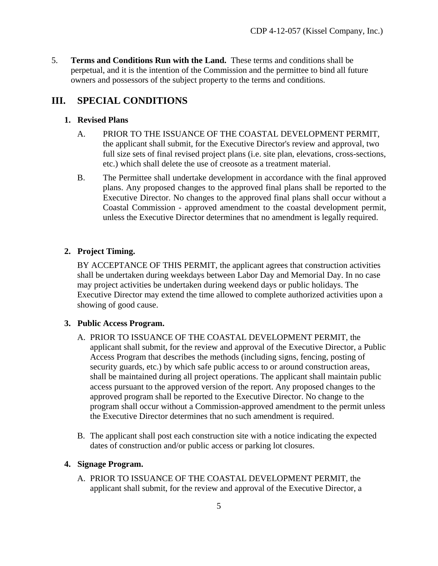5. **Terms and Conditions Run with the Land.** These terms and conditions shall be perpetual, and it is the intention of the Commission and the permittee to bind all future owners and possessors of the subject property to the terms and conditions.

# <span id="page-6-0"></span>**III. SPECIAL CONDITIONS**

## <span id="page-6-1"></span>**1. Revised Plans**

- A. PRIOR TO THE ISSUANCE OF THE COASTAL DEVELOPMENT PERMIT, the applicant shall submit, for the Executive Director's review and approval, two full size sets of final revised project plans (i.e. site plan, elevations, cross-sections, etc.) which shall delete the use of creosote as a treatment material.
- B. The Permittee shall undertake development in accordance with the final approved plans. Any proposed changes to the approved final plans shall be reported to the Executive Director. No changes to the approved final plans shall occur without a Coastal Commission - approved amendment to the coastal development permit, unless the Executive Director determines that no amendment is legally required.

# <span id="page-6-2"></span>**2. Project Timing.**

BY ACCEPTANCE OF THIS PERMIT, the applicant agrees that construction activities shall be undertaken during weekdays between Labor Day and Memorial Day. In no case may project activities be undertaken during weekend days or public holidays. The Executive Director may extend the time allowed to complete authorized activities upon a showing of good cause.

# <span id="page-6-3"></span>**3. Public Access Program.**

- A. PRIOR TO ISSUANCE OF THE COASTAL DEVELOPMENT PERMIT, the applicant shall submit, for the review and approval of the Executive Director, a Public Access Program that describes the methods (including signs, fencing, posting of security guards, etc.) by which safe public access to or around construction areas, shall be maintained during all project operations. The applicant shall maintain public access pursuant to the approved version of the report. Any proposed changes to the approved program shall be reported to the Executive Director. No change to the program shall occur without a Commission-approved amendment to the permit unless the Executive Director determines that no such amendment is required.
- B. The applicant shall post each construction site with a notice indicating the expected dates of construction and/or public access or parking lot closures.

# <span id="page-6-4"></span>**4. Signage Program.**

A. PRIOR TO ISSUANCE OF THE COASTAL DEVELOPMENT PERMIT, the applicant shall submit, for the review and approval of the Executive Director, a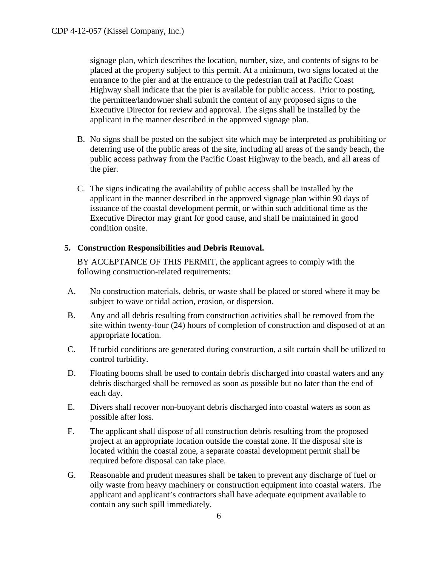signage plan, which describes the location, number, size, and contents of signs to be placed at the property subject to this permit. At a minimum, two signs located at the entrance to the pier and at the entrance to the pedestrian trail at Pacific Coast Highway shall indicate that the pier is available for public access. Prior to posting, the permittee/landowner shall submit the content of any proposed signs to the Executive Director for review and approval. The signs shall be installed by the applicant in the manner described in the approved signage plan.

- B. No signs shall be posted on the subject site which may be interpreted as prohibiting or deterring use of the public areas of the site, including all areas of the sandy beach, the public access pathway from the Pacific Coast Highway to the beach, and all areas of the pier.
- C. The signs indicating the availability of public access shall be installed by the applicant in the manner described in the approved signage plan within 90 days of issuance of the coastal development permit, or within such additional time as the Executive Director may grant for good cause, and shall be maintained in good condition onsite.

## <span id="page-7-0"></span>**5. Construction Responsibilities and Debris Removal.**

BY ACCEPTANCE OF THIS PERMIT, the applicant agrees to comply with the following construction-related requirements:

- A. No construction materials, debris, or waste shall be placed or stored where it may be subject to wave or tidal action, erosion, or dispersion.
- B. Any and all debris resulting from construction activities shall be removed from the site within twenty-four (24) hours of completion of construction and disposed of at an appropriate location.
- C. If turbid conditions are generated during construction, a silt curtain shall be utilized to control turbidity.
- D. Floating booms shall be used to contain debris discharged into coastal waters and any debris discharged shall be removed as soon as possible but no later than the end of each day.
- E. Divers shall recover non-buoyant debris discharged into coastal waters as soon as possible after loss.
- F. The applicant shall dispose of all construction debris resulting from the proposed project at an appropriate location outside the coastal zone. If the disposal site is located within the coastal zone, a separate coastal development permit shall be required before disposal can take place.
- G. Reasonable and prudent measures shall be taken to prevent any discharge of fuel or oily waste from heavy machinery or construction equipment into coastal waters. The applicant and applicant's contractors shall have adequate equipment available to contain any such spill immediately.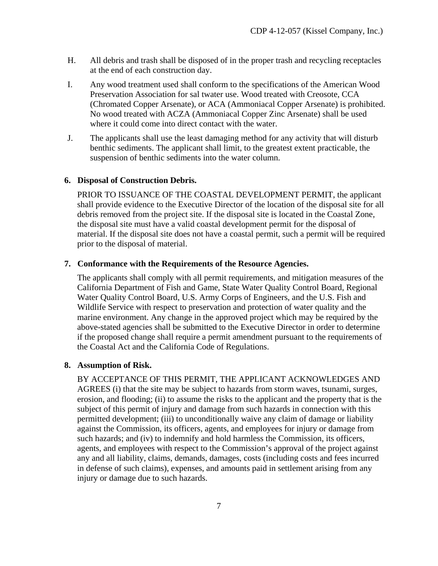- H. All debris and trash shall be disposed of in the proper trash and recycling receptacles at the end of each construction day.
- I. Any wood treatment used shall conform to the specifications of the American Wood Preservation Association for sal twater use. Wood treated with Creosote, CCA (Chromated Copper Arsenate), or ACA (Ammoniacal Copper Arsenate) is prohibited. No wood treated with ACZA (Ammoniacal Copper Zinc Arsenate) shall be used where it could come into direct contact with the water.
- J. The applicants shall use the least damaging method for any activity that will disturb benthic sediments. The applicant shall limit, to the greatest extent practicable, the suspension of benthic sediments into the water column.

#### <span id="page-8-0"></span>**6. Disposal of Construction Debris.**

PRIOR TO ISSUANCE OF THE COASTAL DEVELOPMENT PERMIT, the applicant shall provide evidence to the Executive Director of the location of the disposal site for all debris removed from the project site. If the disposal site is located in the Coastal Zone, the disposal site must have a valid coastal development permit for the disposal of material. If the disposal site does not have a coastal permit, such a permit will be required prior to the disposal of material.

#### <span id="page-8-1"></span>**7. Conformance with the Requirements of the Resource Agencies.**

The applicants shall comply with all permit requirements, and mitigation measures of the California Department of Fish and Game, State Water Quality Control Board, Regional Water Quality Control Board, U.S. Army Corps of Engineers, and the U.S. Fish and Wildlife Service with respect to preservation and protection of water quality and the marine environment. Any change in the approved project which may be required by the above-stated agencies shall be submitted to the Executive Director in order to determine if the proposed change shall require a permit amendment pursuant to the requirements of the Coastal Act and the California Code of Regulations.

#### <span id="page-8-2"></span>**8. Assumption of Risk.**

BY ACCEPTANCE OF THIS PERMIT, THE APPLICANT ACKNOWLEDGES AND AGREES (i) that the site may be subject to hazards from storm waves, tsunami, surges, erosion, and flooding; (ii) to assume the risks to the applicant and the property that is the subject of this permit of injury and damage from such hazards in connection with this permitted development; (iii) to unconditionally waive any claim of damage or liability against the Commission, its officers, agents, and employees for injury or damage from such hazards; and (iv) to indemnify and hold harmless the Commission, its officers, agents, and employees with respect to the Commission's approval of the project against any and all liability, claims, demands, damages, costs (including costs and fees incurred in defense of such claims), expenses, and amounts paid in settlement arising from any injury or damage due to such hazards.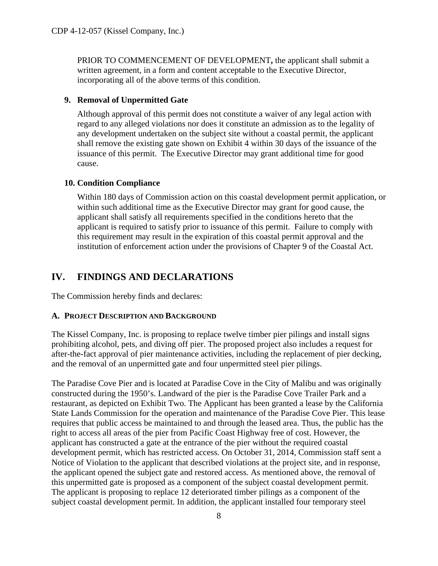PRIOR TO COMMENCEMENT OF DEVELOPMENT**,** the applicant shall submit a written agreement, in a form and content acceptable to the Executive Director, incorporating all of the above terms of this condition.

## <span id="page-9-0"></span>**9. Removal of Unpermitted Gate**

Although approval of this permit does not constitute a waiver of any legal action with regard to any alleged violations nor does it constitute an admission as to the legality of any development undertaken on the subject site without a coastal permit, the applicant shall remove the existing gate shown on Exhibit 4 within 30 days of the issuance of the issuance of this permit. The Executive Director may grant additional time for good cause.

## <span id="page-9-1"></span>**10. Condition Compliance**

Within 180 days of Commission action on this coastal development permit application, or within such additional time as the Executive Director may grant for good cause, the applicant shall satisfy all requirements specified in the conditions hereto that the applicant is required to satisfy prior to issuance of this permit. Failure to comply with this requirement may result in the expiration of this coastal permit approval and the institution of enforcement action under the provisions of Chapter 9 of the Coastal Act.

# <span id="page-9-2"></span>**IV. FINDINGS AND DECLARATIONS**

The Commission hereby finds and declares:

# <span id="page-9-3"></span>**A. PROJECT DESCRIPTION AND BACKGROUND**

The Kissel Company, Inc. is proposing to replace twelve timber pier pilings and install signs prohibiting alcohol, pets, and diving off pier. The proposed project also includes a request for after-the-fact approval of pier maintenance activities, including the replacement of pier decking, and the removal of an unpermitted gate and four unpermitted steel pier pilings.

The Paradise Cove Pier and is located at Paradise Cove in the City of Malibu and was originally constructed during the 1950's. Landward of the pier is the Paradise Cove Trailer Park and a restaurant, as depicted on Exhibit Two. The Applicant has been granted a lease by the California State Lands Commission for the operation and maintenance of the Paradise Cove Pier. This lease requires that public access be maintained to and through the leased area. Thus, the public has the right to access all areas of the pier from Pacific Coast Highway free of cost. However, the applicant has constructed a gate at the entrance of the pier without the required coastal development permit, which has restricted access. On October 31, 2014, Commission staff sent a Notice of Violation to the applicant that described violations at the project site, and in response, the applicant opened the subject gate and restored access. As mentioned above, the removal of this unpermitted gate is proposed as a component of the subject coastal development permit. The applicant is proposing to replace 12 deteriorated timber pilings as a component of the subject coastal development permit. In addition, the applicant installed four temporary steel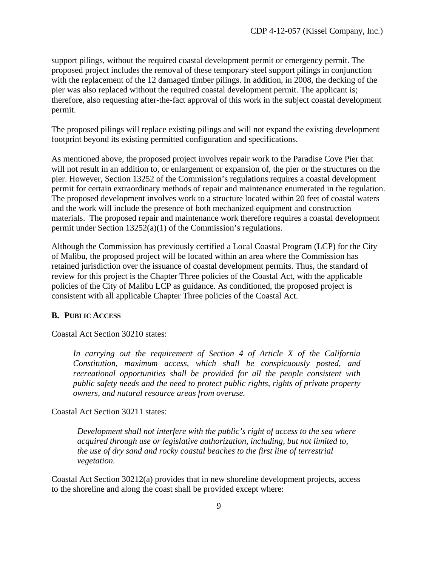support pilings, without the required coastal development permit or emergency permit. The proposed project includes the removal of these temporary steel support pilings in conjunction with the replacement of the 12 damaged timber pilings. In addition, in 2008, the decking of the pier was also replaced without the required coastal development permit. The applicant is; therefore, also requesting after-the-fact approval of this work in the subject coastal development permit.

The proposed pilings will replace existing pilings and will not expand the existing development footprint beyond its existing permitted configuration and specifications.

As mentioned above, the proposed project involves repair work to the Paradise Cove Pier that will not result in an addition to, or enlargement or expansion of, the pier or the structures on the pier. However, Section 13252 of the Commission's regulations requires a coastal development permit for certain extraordinary methods of repair and maintenance enumerated in the regulation. The proposed development involves work to a structure located within 20 feet of coastal waters and the work will include the presence of both mechanized equipment and construction materials. The proposed repair and maintenance work therefore requires a coastal development permit under Section 13252(a)(1) of the Commission's regulations.

Although the Commission has previously certified a Local Coastal Program (LCP) for the City of Malibu, the proposed project will be located within an area where the Commission has retained jurisdiction over the issuance of coastal development permits. Thus, the standard of review for this project is the Chapter Three policies of the Coastal Act, with the applicable policies of the City of Malibu LCP as guidance. As conditioned, the proposed project is consistent with all applicable Chapter Three policies of the Coastal Act.

#### <span id="page-10-0"></span>**B. PUBLIC ACCESS**

Coastal Act Section 30210 states:

*In carrying out the requirement of Section 4 of Article X of the California Constitution, maximum access, which shall be conspicuously posted, and recreational opportunities shall be provided for all the people consistent with public safety needs and the need to protect public rights, rights of private property owners, and natural resource areas from overuse.* 

Coastal Act Section 30211 states:

*Development shall not interfere with the public's right of access to the sea where acquired through use or legislative authorization, including, but not limited to, the use of dry sand and rocky coastal beaches to the first line of terrestrial vegetation.* 

Coastal Act Section 30212(a) provides that in new shoreline development projects, access to the shoreline and along the coast shall be provided except where: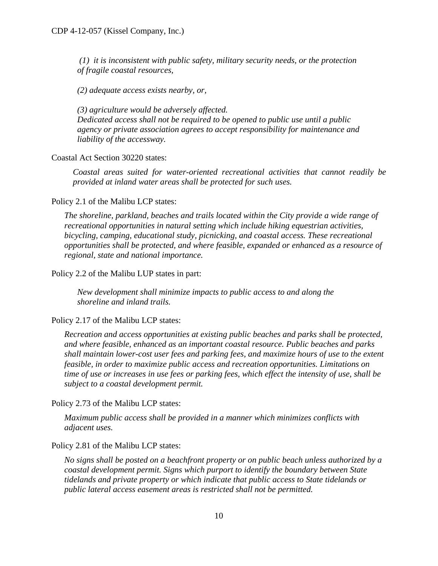*(1) it is inconsistent with public safety, military security needs, or the protection of fragile coastal resources,*

*(2) adequate access exists nearby, or,* 

*(3) agriculture would be adversely affected. Dedicated access shall not be required to be opened to public use until a public agency or private association agrees to accept responsibility for maintenance and liability of the accessway.*

Coastal Act Section 30220 states:

*Coastal areas suited for water-oriented recreational activities that cannot readily be provided at inland water areas shall be protected for such uses.* 

Policy 2.1 of the Malibu LCP states:

*The shoreline, parkland, beaches and trails located within the City provide a wide range of recreational opportunities in natural setting which include hiking equestrian activities, bicycling, camping, educational study, picnicking, and coastal access. These recreational opportunities shall be protected, and where feasible, expanded or enhanced as a resource of regional, state and national importance.* 

Policy 2.2 of the Malibu LUP states in part:

 *New development shall minimize impacts to public access to and along the shoreline and inland trails.* 

Policy 2.17 of the Malibu LCP states:

*Recreation and access opportunities at existing public beaches and parks shall be protected, and where feasible, enhanced as an important coastal resource. Public beaches and parks shall maintain lower-cost user fees and parking fees, and maximize hours of use to the extent feasible, in order to maximize public access and recreation opportunities. Limitations on time of use or increases in use fees or parking fees, which effect the intensity of use, shall be subject to a coastal development permit.* 

Policy 2.73 of the Malibu LCP states:

*Maximum public access shall be provided in a manner which minimizes conflicts with adjacent uses.* 

Policy 2.81 of the Malibu LCP states:

*No signs shall be posted on a beachfront property or on public beach unless authorized by a coastal development permit. Signs which purport to identify the boundary between State tidelands and private property or which indicate that public access to State tidelands or public lateral access easement areas is restricted shall not be permitted.*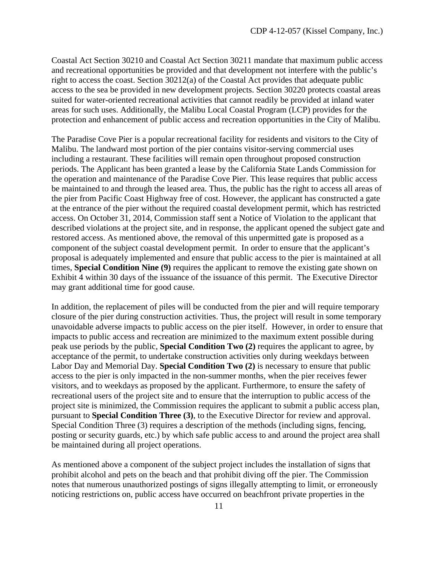Coastal Act Section 30210 and Coastal Act Section 30211 mandate that maximum public access and recreational opportunities be provided and that development not interfere with the public's right to access the coast. Section 30212(a) of the Coastal Act provides that adequate public access to the sea be provided in new development projects. Section 30220 protects coastal areas suited for water-oriented recreational activities that cannot readily be provided at inland water areas for such uses. Additionally, the Malibu Local Coastal Program (LCP) provides for the protection and enhancement of public access and recreation opportunities in the City of Malibu.

The Paradise Cove Pier is a popular recreational facility for residents and visitors to the City of Malibu. The landward most portion of the pier contains visitor-serving commercial uses including a restaurant. These facilities will remain open throughout proposed construction periods. The Applicant has been granted a lease by the California State Lands Commission for the operation and maintenance of the Paradise Cove Pier. This lease requires that public access be maintained to and through the leased area. Thus, the public has the right to access all areas of the pier from Pacific Coast Highway free of cost. However, the applicant has constructed a gate at the entrance of the pier without the required coastal development permit, which has restricted access. On October 31, 2014, Commission staff sent a Notice of Violation to the applicant that described violations at the project site, and in response, the applicant opened the subject gate and restored access. As mentioned above, the removal of this unpermitted gate is proposed as a component of the subject coastal development permit. In order to ensure that the applicant's proposal is adequately implemented and ensure that public access to the pier is maintained at all times, **Special Condition Nine (9)** requires the applicant to remove the existing gate shown on Exhibit 4 within 30 days of the issuance of the issuance of this permit. The Executive Director may grant additional time for good cause.

In addition, the replacement of piles will be conducted from the pier and will require temporary closure of the pier during construction activities. Thus, the project will result in some temporary unavoidable adverse impacts to public access on the pier itself. However, in order to ensure that impacts to public access and recreation are minimized to the maximum extent possible during peak use periods by the public, **Special Condition Two (2)** requires the applicant to agree, by acceptance of the permit, to undertake construction activities only during weekdays between Labor Day and Memorial Day. **Special Condition Two (2)** is necessary to ensure that public access to the pier is only impacted in the non-summer months, when the pier receives fewer visitors, and to weekdays as proposed by the applicant. Furthermore, to ensure the safety of recreational users of the project site and to ensure that the interruption to public access of the project site is minimized, the Commission requires the applicant to submit a public access plan, pursuant to **Special Condition Three (3)**, to the Executive Director for review and approval. Special Condition Three (3) requires a description of the methods (including signs, fencing, posting or security guards, etc.) by which safe public access to and around the project area shall be maintained during all project operations.

As mentioned above a component of the subject project includes the installation of signs that prohibit alcohol and pets on the beach and that prohibit diving off the pier. The Commission notes that numerous unauthorized postings of signs illegally attempting to limit, or erroneously noticing restrictions on, public access have occurred on beachfront private properties in the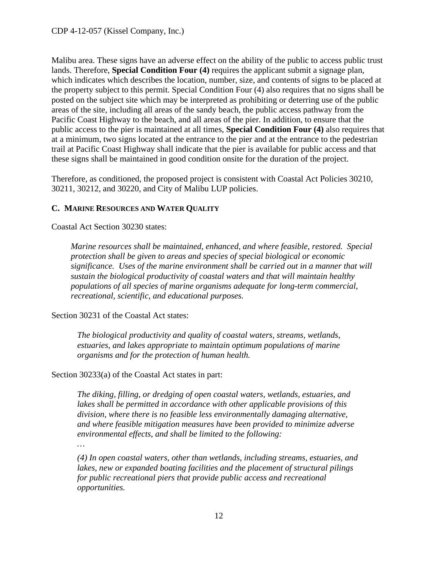Malibu area. These signs have an adverse effect on the ability of the public to access public trust lands. Therefore, **Special Condition Four (4)** requires the applicant submit a signage plan, which indicates which describes the location, number, size, and contents of signs to be placed at the property subject to this permit. Special Condition Four (4) also requires that no signs shall be posted on the subject site which may be interpreted as prohibiting or deterring use of the public areas of the site, including all areas of the sandy beach, the public access pathway from the Pacific Coast Highway to the beach, and all areas of the pier. In addition, to ensure that the public access to the pier is maintained at all times, **Special Condition Four (4)** also requires that at a minimum, two signs located at the entrance to the pier and at the entrance to the pedestrian trail at Pacific Coast Highway shall indicate that the pier is available for public access and that these signs shall be maintained in good condition onsite for the duration of the project.

Therefore, as conditioned, the proposed project is consistent with Coastal Act Policies 30210, 30211, 30212, and 30220, and City of Malibu LUP policies.

# <span id="page-13-0"></span>**C. MARINE RESOURCES AND WATER QUALITY**

Coastal Act Section 30230 states:

*Marine resources shall be maintained, enhanced, and where feasible, restored. Special protection shall be given to areas and species of special biological or economic significance. Uses of the marine environment shall be carried out in a manner that will sustain the biological productivity of coastal waters and that will maintain healthy populations of all species of marine organisms adequate for long-term commercial, recreational, scientific, and educational purposes.* 

Section 30231 of the Coastal Act states:

*The biological productivity and quality of coastal waters, streams, wetlands, estuaries, and lakes appropriate to maintain optimum populations of marine organisms and for the protection of human health.* 

Section 30233(a) of the Coastal Act states in part:

*The diking, filling, or dredging of open coastal waters, wetlands, estuaries, and lakes shall be permitted in accordance with other applicable provisions of this division, where there is no feasible less environmentally damaging alternative, and where feasible mitigation measures have been provided to minimize adverse environmental effects, and shall be limited to the following:* 

*…* 

*(4) In open coastal waters, other than wetlands, including streams, estuaries, and lakes, new or expanded boating facilities and the placement of structural pilings for public recreational piers that provide public access and recreational opportunities.*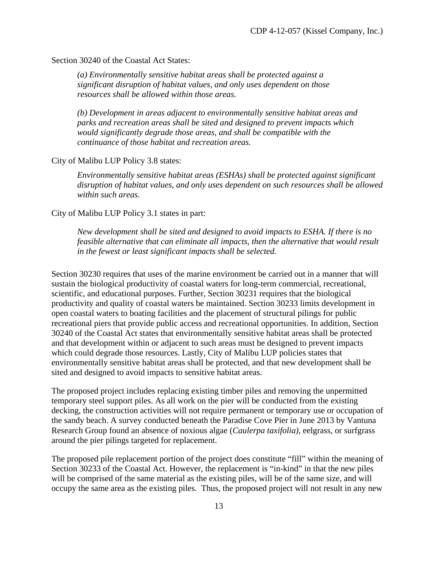Section 30240 of the Coastal Act States:

*(a) Environmentally sensitive habitat areas shall be protected against a significant disruption of habitat values, and only uses dependent on those resources shall be allowed within those areas.*

*(b) Development in areas adjacent to environmentally sensitive habitat areas and parks and recreation areas shall be sited and designed to prevent impacts which would significantly degrade those areas, and shall be compatible with the continuance of those habitat and recreation areas.* 

#### City of Malibu LUP Policy 3.8 states:

 *Environmentally sensitive habitat areas (ESHAs) shall be protected against significant disruption of habitat values, and only uses dependent on such resources shall be allowed within such areas.*

#### City of Malibu LUP Policy 3.1 states in part:

*New development shall be sited and designed to avoid impacts to ESHA. If there is no feasible alternative that can eliminate all impacts, then the alternative that would result in the fewest or least significant impacts shall be selected.* 

Section 30230 requires that uses of the marine environment be carried out in a manner that will sustain the biological productivity of coastal waters for long-term commercial, recreational, scientific, and educational purposes. Further, Section 30231 requires that the biological productivity and quality of coastal waters be maintained. Section 30233 limits development in open coastal waters to boating facilities and the placement of structural pilings for public recreational piers that provide public access and recreational opportunities. In addition, Section 30240 of the Coastal Act states that environmentally sensitive habitat areas shall be protected and that development within or adjacent to such areas must be designed to prevent impacts which could degrade those resources. Lastly, City of Malibu LUP policies states that environmentally sensitive habitat areas shall be protected, and that new development shall be sited and designed to avoid impacts to sensitive habitat areas.

The proposed project includes replacing existing timber piles and removing the unpermitted temporary steel support piles. As all work on the pier will be conducted from the existing decking, the construction activities will not require permanent or temporary use or occupation of the sandy beach. A survey conducted beneath the Paradise Cove Pier in June 2013 by Vantuna Research Group found an absence of noxious algae (*Caulerpa taxifolia)*, eelgrass, or surfgrass around the pier pilings targeted for replacement.

The proposed pile replacement portion of the project does constitute "fill" within the meaning of Section 30233 of the Coastal Act. However, the replacement is "in-kind" in that the new piles will be comprised of the same material as the existing piles, will be of the same size, and will occupy the same area as the existing piles. Thus, the proposed project will not result in any new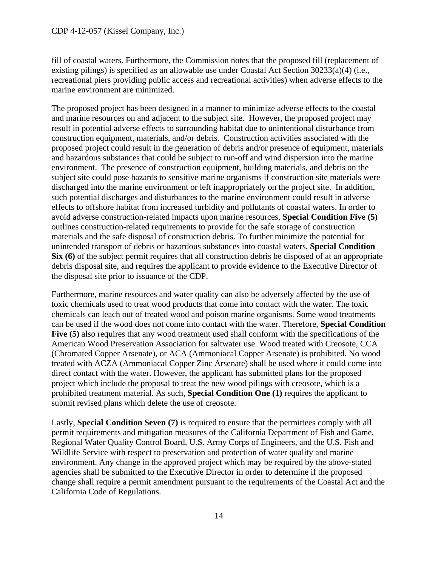fill of coastal waters. Furthermore, the Commission notes that the proposed fill (replacement of existing pilings) is specified as an allowable use under Coastal Act Section 30233(a)(4) (i.e., recreational piers providing public access and recreational activities) when adverse effects to the marine environment are minimized.

The proposed project has been designed in a manner to minimize adverse effects to the coastal and marine resources on and adjacent to the subject site. However, the proposed project may result in potential adverse effects to surrounding habitat due to unintentional disturbance from construction equipment, materials, and/or debris. Construction activities associated with the proposed project could result in the generation of debris and/or presence of equipment, materials and hazardous substances that could be subject to run-off and wind dispersion into the marine environment. The presence of construction equipment, building materials, and debris on the subject site could pose hazards to sensitive marine organisms if construction site materials were discharged into the marine environment or left inappropriately on the project site. In addition, such potential discharges and disturbances to the marine environment could result in adverse effects to offshore habitat from increased turbidity and pollutants of coastal waters. In order to avoid adverse construction-related impacts upon marine resources, **Special Condition Five (5)** outlines construction-related requirements to provide for the safe storage of construction materials and the safe disposal of construction debris. To further minimize the potential for unintended transport of debris or hazardous substances into coastal waters, **Special Condition Six (6)** of the subject permit requires that all construction debris be disposed of at an appropriate debris disposal site, and requires the applicant to provide evidence to the Executive Director of the disposal site prior to issuance of the CDP.

Furthermore, marine resources and water quality can also be adversely affected by the use of toxic chemicals used to treat wood products that come into contact with the water. The toxic chemicals can leach out of treated wood and poison marine organisms. Some wood treatments can be used if the wood does not come into contact with the water. Therefore, **Special Condition Five (5)** also requires that any wood treatment used shall conform with the specifications of the American Wood Preservation Association for saltwater use. Wood treated with Creosote, CCA (Chromated Copper Arsenate), or ACA (Ammoniacal Copper Arsenate) is prohibited. No wood treated with ACZA (Ammoniacal Copper Zinc Arsenate) shall be used where it could come into direct contact with the water. However, the applicant has submitted plans for the proposed project which include the proposal to treat the new wood pilings with creosote, which is a prohibited treatment material. As such, **Special Condition One (1)** requires the applicant to submit revised plans which delete the use of creosote.

Lastly, **Special Condition Seven (7)** is required to ensure that the permittees comply with all permit requirements and mitigation measures of the California Department of Fish and Game, Regional Water Quality Control Board, U.S. Army Corps of Engineers, and the U.S. Fish and Wildlife Service with respect to preservation and protection of water quality and marine environment. Any change in the approved project which may be required by the above-stated agencies shall be submitted to the Executive Director in order to determine if the proposed change shall require a permit amendment pursuant to the requirements of the Coastal Act and the California Code of Regulations.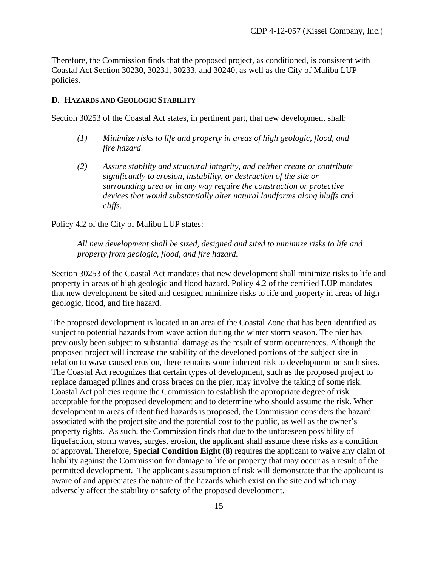Therefore, the Commission finds that the proposed project, as conditioned, is consistent with Coastal Act Section 30230, 30231, 30233, and 30240, as well as the City of Malibu LUP policies.

#### <span id="page-16-0"></span>**D. HAZARDS AND GEOLOGIC STABILITY**

Section 30253 of the Coastal Act states, in pertinent part, that new development shall:

- *(1) Minimize risks to life and property in areas of high geologic, flood, and fire hazard*
- *(2) Assure stability and structural integrity, and neither create or contribute significantly to erosion, instability, or destruction of the site or surrounding area or in any way require the construction or protective devices that would substantially alter natural landforms along bluffs and cliffs.*

Policy 4.2 of the City of Malibu LUP states:

*All new development shall be sized, designed and sited to minimize risks to life and property from geologic, flood, and fire hazard.* 

Section 30253 of the Coastal Act mandates that new development shall minimize risks to life and property in areas of high geologic and flood hazard. Policy 4.2 of the certified LUP mandates that new development be sited and designed minimize risks to life and property in areas of high geologic, flood, and fire hazard.

The proposed development is located in an area of the Coastal Zone that has been identified as subject to potential hazards from wave action during the winter storm season. The pier has previously been subject to substantial damage as the result of storm occurrences. Although the proposed project will increase the stability of the developed portions of the subject site in relation to wave caused erosion, there remains some inherent risk to development on such sites. The Coastal Act recognizes that certain types of development, such as the proposed project to replace damaged pilings and cross braces on the pier, may involve the taking of some risk. Coastal Act policies require the Commission to establish the appropriate degree of risk acceptable for the proposed development and to determine who should assume the risk. When development in areas of identified hazards is proposed, the Commission considers the hazard associated with the project site and the potential cost to the public, as well as the owner's property rights. As such, the Commission finds that due to the unforeseen possibility of liquefaction, storm waves, surges, erosion, the applicant shall assume these risks as a condition of approval. Therefore, **Special Condition Eight (8)** requires the applicant to waive any claim of liability against the Commission for damage to life or property that may occur as a result of the permitted development. The applicant's assumption of risk will demonstrate that the applicant is aware of and appreciates the nature of the hazards which exist on the site and which may adversely affect the stability or safety of the proposed development.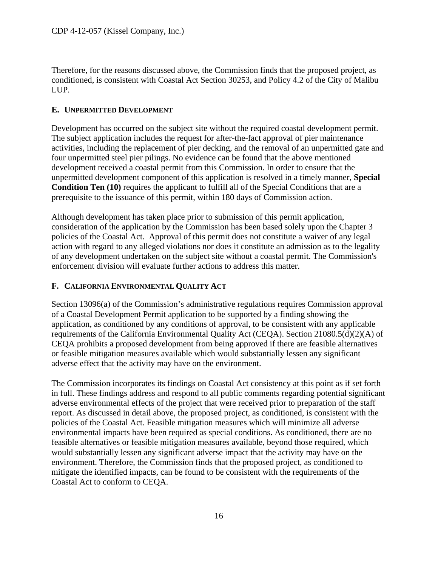Therefore, for the reasons discussed above, the Commission finds that the proposed project, as conditioned, is consistent with Coastal Act Section 30253, and Policy 4.2 of the City of Malibu LUP.

# <span id="page-17-0"></span>**E. UNPERMITTED DEVELOPMENT**

Development has occurred on the subject site without the required coastal development permit. The subject application includes the request for after-the-fact approval of pier maintenance activities, including the replacement of pier decking, and the removal of an unpermitted gate and four unpermitted steel pier pilings. No evidence can be found that the above mentioned development received a coastal permit from this Commission. In order to ensure that the unpermitted development component of this application is resolved in a timely manner, **Special Condition Ten (10)** requires the applicant to fulfill all of the Special Conditions that are a prerequisite to the issuance of this permit, within 180 days of Commission action.

Although development has taken place prior to submission of this permit application, consideration of the application by the Commission has been based solely upon the Chapter 3 policies of the Coastal Act. Approval of this permit does not constitute a waiver of any legal action with regard to any alleged violations nor does it constitute an admission as to the legality of any development undertaken on the subject site without a coastal permit. The Commission's enforcement division will evaluate further actions to address this matter.

# <span id="page-17-1"></span>**F. CALIFORNIA ENVIRONMENTAL QUALITY ACT**

Section 13096(a) of the Commission's administrative regulations requires Commission approval of a Coastal Development Permit application to be supported by a finding showing the application, as conditioned by any conditions of approval, to be consistent with any applicable requirements of the California Environmental Quality Act (CEQA). Section 21080.5(d)(2)(A) of CEQA prohibits a proposed development from being approved if there are feasible alternatives or feasible mitigation measures available which would substantially lessen any significant adverse effect that the activity may have on the environment.

The Commission incorporates its findings on Coastal Act consistency at this point as if set forth in full. These findings address and respond to all public comments regarding potential significant adverse environmental effects of the project that were received prior to preparation of the staff report. As discussed in detail above, the proposed project, as conditioned, is consistent with the policies of the Coastal Act. Feasible mitigation measures which will minimize all adverse environmental impacts have been required as special conditions. As conditioned, there are no feasible alternatives or feasible mitigation measures available, beyond those required, which would substantially lessen any significant adverse impact that the activity may have on the environment. Therefore, the Commission finds that the proposed project, as conditioned to mitigate the identified impacts, can be found to be consistent with the requirements of the Coastal Act to conform to CEQA.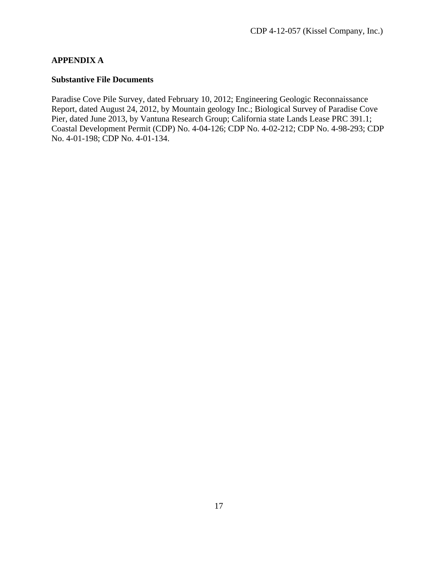# **APPENDIX A**

#### **Substantive File Documents**

Paradise Cove Pile Survey, dated February 10, 2012; Engineering Geologic Reconnaissance Report, dated August 24, 2012, by Mountain geology Inc.; Biological Survey of Paradise Cove Pier, dated June 2013, by Vantuna Research Group; California state Lands Lease PRC 391.1; Coastal Development Permit (CDP) No. 4-04-126; CDP No. 4-02-212; CDP No. 4-98-293; CDP No. 4-01-198; CDP No. 4-01-134.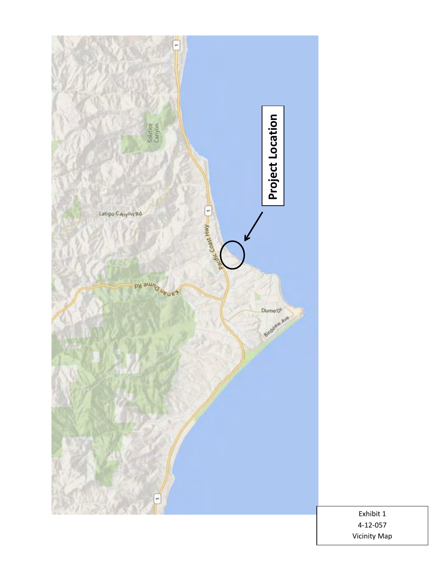

Exhibit 1 4-12-057 Vicinity Map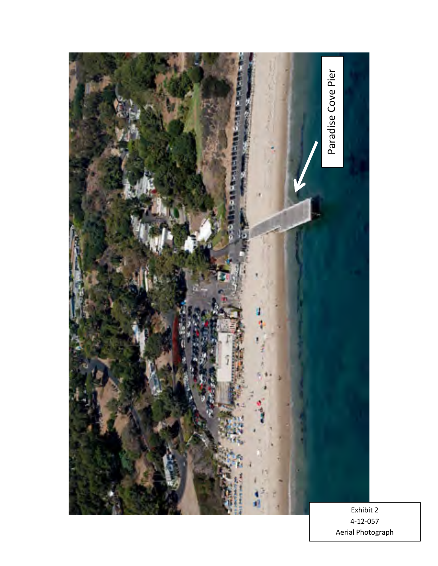

4-12-057 Aerial Photograph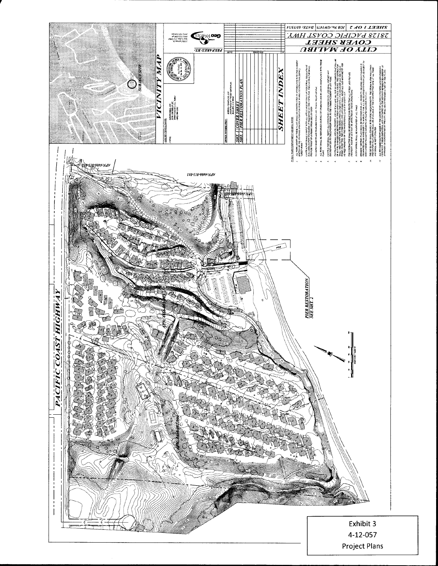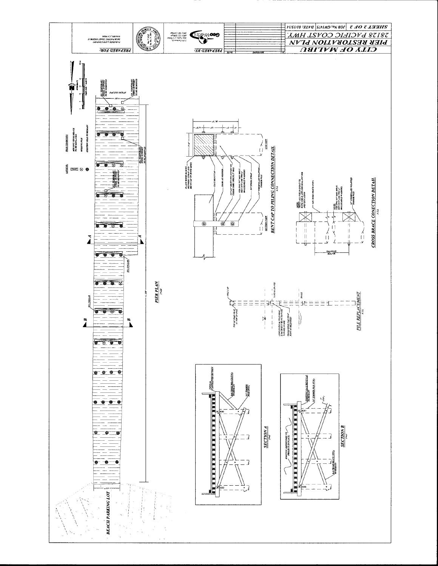